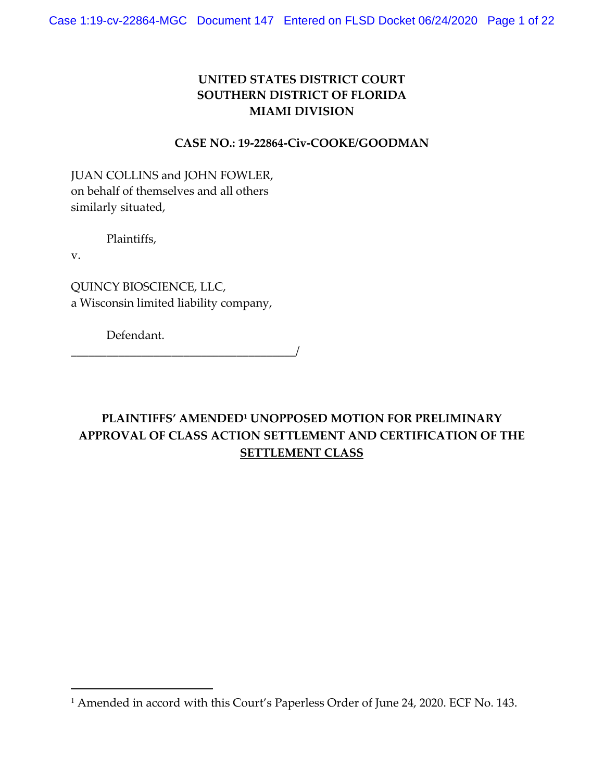# **UNITED STATES DISTRICT COURT SOUTHERN DISTRICT OF FLORIDA MIAMI DIVISION**

### **CASE NO.: 19-22864-Civ-COOKE/GOODMAN**

JUAN COLLINS and JOHN FOWLER, on behalf of themselves and all others similarly situated,

Plaintiffs,

v.

QUINCY BIOSCIENCE, LLC, a Wisconsin limited liability company,

Defendant.

\_\_\_\_\_\_\_\_\_\_\_\_\_\_\_\_\_\_\_\_\_\_\_\_\_\_\_\_\_\_\_\_\_\_\_\_\_\_/

# **PLAINTIFFS' AMENDED1 UNOPPOSED MOTION FOR PRELIMINARY APPROVAL OF CLASS ACTION SETTLEMENT AND CERTIFICATION OF THE SETTLEMENT CLASS**

<sup>&</sup>lt;sup>1</sup> Amended in accord with this Court's Paperless Order of June 24, 2020. ECF No. 143.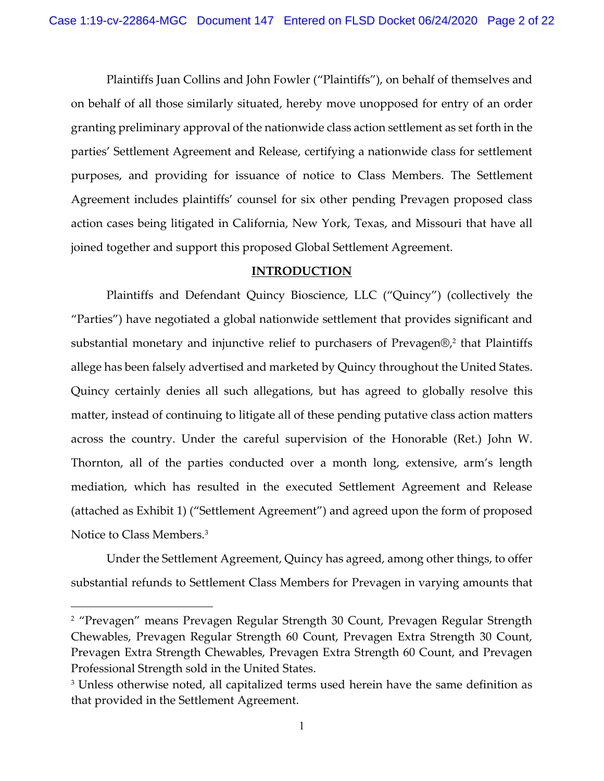Plaintiffs Juan Collins and John Fowler ("Plaintiffs"), on behalf of themselves and on behalf of all those similarly situated, hereby move unopposed for entry of an order granting preliminary approval of the nationwide class action settlement as set forth in the parties' Settlement Agreement and Release, certifying a nationwide class for settlement purposes, and providing for issuance of notice to Class Members. The Settlement Agreement includes plaintiffs' counsel for six other pending Prevagen proposed class action cases being litigated in California, New York, Texas, and Missouri that have all joined together and support this proposed Global Settlement Agreement.

### **INTRODUCTION**

Plaintiffs and Defendant Quincy Bioscience, LLC ("Quincy") (collectively the "Parties") have negotiated a global nationwide settlement that provides significant and substantial monetary and injunctive relief to purchasers of Prevagen®, <sup>2</sup> that Plaintiffs allege has been falsely advertised and marketed by Quincy throughout the United States. Quincy certainly denies all such allegations, but has agreed to globally resolve this matter, instead of continuing to litigate all of these pending putative class action matters across the country. Under the careful supervision of the Honorable (Ret.) John W. Thornton, all of the parties conducted over a month long, extensive, arm's length mediation, which has resulted in the executed Settlement Agreement and Release (attached as Exhibit 1) ("Settlement Agreement") and agreed upon the form of proposed Notice to Class Members.3

Under the Settlement Agreement, Quincy has agreed, among other things, to offer substantial refunds to Settlement Class Members for Prevagen in varying amounts that

<sup>&</sup>lt;sup>2</sup> "Prevagen" means Prevagen Regular Strength 30 Count, Prevagen Regular Strength Chewables, Prevagen Regular Strength 60 Count, Prevagen Extra Strength 30 Count, Prevagen Extra Strength Chewables, Prevagen Extra Strength 60 Count, and Prevagen Professional Strength sold in the United States.

<sup>&</sup>lt;sup>3</sup> Unless otherwise noted, all capitalized terms used herein have the same definition as that provided in the Settlement Agreement.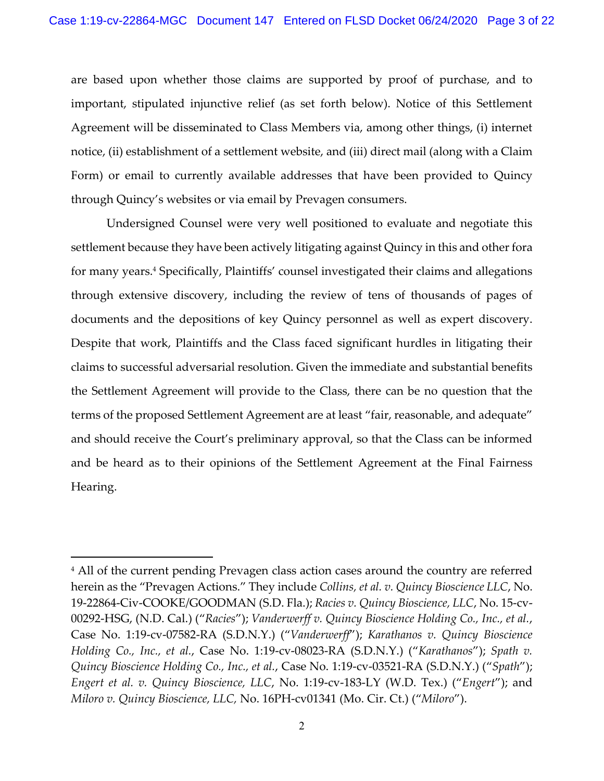are based upon whether those claims are supported by proof of purchase, and to important, stipulated injunctive relief (as set forth below). Notice of this Settlement Agreement will be disseminated to Class Members via, among other things, (i) internet notice, (ii) establishment of a settlement website, and (iii) direct mail (along with a Claim Form) or email to currently available addresses that have been provided to Quincy through Quincy's websites or via email by Prevagen consumers.

Undersigned Counsel were very well positioned to evaluate and negotiate this settlement because they have been actively litigating against Quincy in this and other fora for many years. <sup>4</sup> Specifically, Plaintiffs' counsel investigated their claims and allegations through extensive discovery, including the review of tens of thousands of pages of documents and the depositions of key Quincy personnel as well as expert discovery. Despite that work, Plaintiffs and the Class faced significant hurdles in litigating their claims to successful adversarial resolution. Given the immediate and substantial benefits the Settlement Agreement will provide to the Class, there can be no question that the terms of the proposed Settlement Agreement are at least "fair, reasonable, and adequate" and should receive the Court's preliminary approval, so that the Class can be informed and be heard as to their opinions of the Settlement Agreement at the Final Fairness Hearing.

<sup>&</sup>lt;sup>4</sup> All of the current pending Prevagen class action cases around the country are referred herein as the "Prevagen Actions." They include *Collins, et al. v. Quincy Bioscience LLC*, No. 19-22864-Civ-COOKE/GOODMAN (S.D. Fla.); *Racies v. Quincy Bioscience, LLC*, No. 15-cv-00292-HSG, (N.D. Cal.) ("*Racies*"); *Vanderwerff v. Quincy Bioscience Holding Co., Inc., et al.*, Case No. 1:19-cv-07582-RA (S.D.N.Y.) ("*Vanderwerff*"); *Karathanos v. Quincy Bioscience Holding Co., Inc., et al.*, Case No. 1:19-cv-08023-RA (S.D.N.Y.) ("*Karathanos*"); *Spath v. Quincy Bioscience Holding Co., Inc., et al.*, Case No. 1:19-cv-03521-RA (S.D.N.Y.) ("*Spath*"); *Engert et al. v. Quincy Bioscience, LLC*, No. 1:19-cv-183-LY (W.D. Tex.) ("*Engert*"); and *Miloro v. Quincy Bioscience, LLC,* No. 16PH-cv01341 (Mo. Cir. Ct.) ("*Miloro*").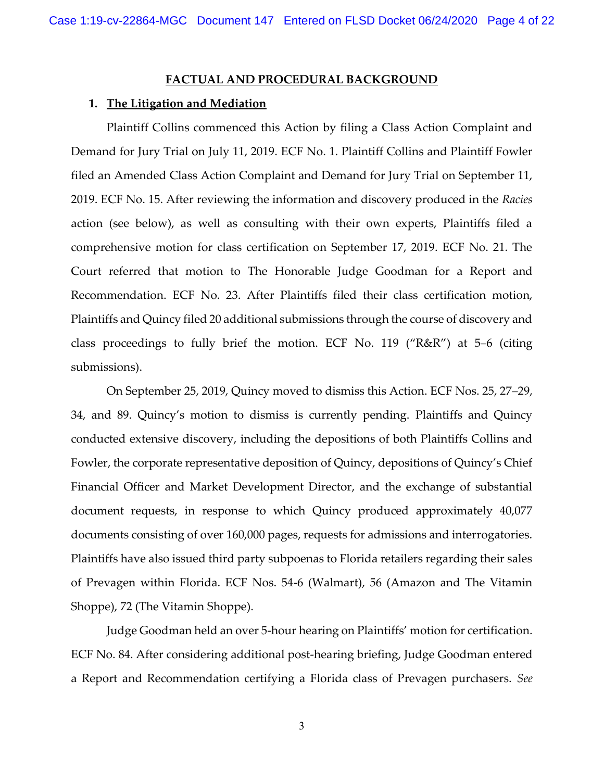#### **FACTUAL AND PROCEDURAL BACKGROUND**

#### **1. The Litigation and Mediation**

Plaintiff Collins commenced this Action by filing a Class Action Complaint and Demand for Jury Trial on July 11, 2019. ECF No. 1. Plaintiff Collins and Plaintiff Fowler filed an Amended Class Action Complaint and Demand for Jury Trial on September 11, 2019. ECF No. 15. After reviewing the information and discovery produced in the *Racies* action (see below), as well as consulting with their own experts, Plaintiffs filed a comprehensive motion for class certification on September 17, 2019. ECF No. 21. The Court referred that motion to The Honorable Judge Goodman for a Report and Recommendation. ECF No. 23. After Plaintiffs filed their class certification motion, Plaintiffs and Quincy filed 20 additional submissions through the course of discovery and class proceedings to fully brief the motion. ECF No. 119 ("R&R") at 5–6 (citing submissions).

On September 25, 2019, Quincy moved to dismiss this Action. ECF Nos. 25, 27–29, 34, and 89. Quincy's motion to dismiss is currently pending. Plaintiffs and Quincy conducted extensive discovery, including the depositions of both Plaintiffs Collins and Fowler, the corporate representative deposition of Quincy, depositions of Quincy's Chief Financial Officer and Market Development Director, and the exchange of substantial document requests, in response to which Quincy produced approximately 40,077 documents consisting of over 160,000 pages, requests for admissions and interrogatories. Plaintiffs have also issued third party subpoenas to Florida retailers regarding their sales of Prevagen within Florida. ECF Nos. 54-6 (Walmart), 56 (Amazon and The Vitamin Shoppe), 72 (The Vitamin Shoppe).

Judge Goodman held an over 5-hour hearing on Plaintiffs' motion for certification. ECF No. 84. After considering additional post-hearing briefing, Judge Goodman entered a Report and Recommendation certifying a Florida class of Prevagen purchasers. *See*

3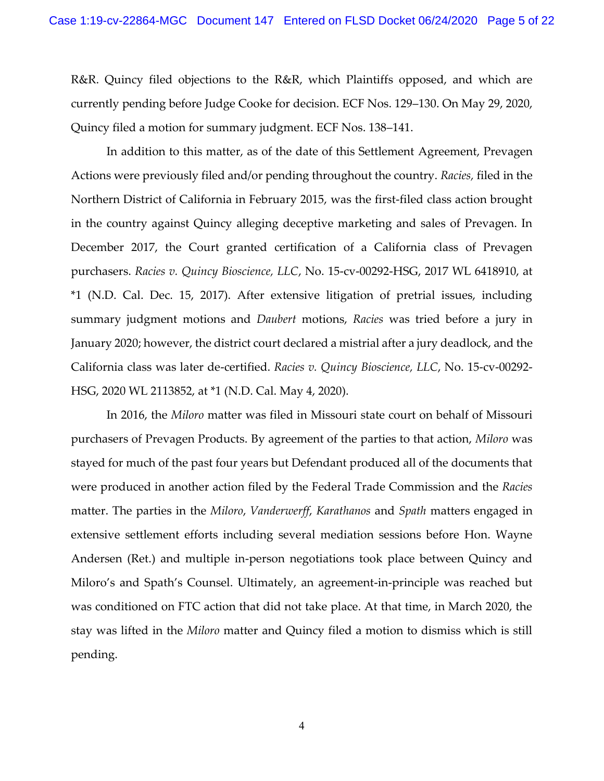R&R. Quincy filed objections to the R&R, which Plaintiffs opposed, and which are currently pending before Judge Cooke for decision. ECF Nos. 129–130. On May 29, 2020, Quincy filed a motion for summary judgment. ECF Nos. 138–141.

In addition to this matter, as of the date of this Settlement Agreement, Prevagen Actions were previously filed and/or pending throughout the country. *Racies,* filed in the Northern District of California in February 2015, was the first-filed class action brought in the country against Quincy alleging deceptive marketing and sales of Prevagen. In December 2017, the Court granted certification of a California class of Prevagen purchasers. *Racies v. Quincy Bioscience, LLC*, No. 15-cv-00292-HSG, 2017 WL 6418910, at \*1 (N.D. Cal. Dec. 15, 2017). After extensive litigation of pretrial issues, including summary judgment motions and *Daubert* motions, *Racies* was tried before a jury in January 2020; however, the district court declared a mistrial after a jury deadlock, and the California class was later de-certified. *Racies v. Quincy Bioscience, LLC*, No. 15-cv-00292- HSG, 2020 WL 2113852, at \*1 (N.D. Cal. May 4, 2020).

In 2016, the *Miloro* matter was filed in Missouri state court on behalf of Missouri purchasers of Prevagen Products. By agreement of the parties to that action, *Miloro* was stayed for much of the past four years but Defendant produced all of the documents that were produced in another action filed by the Federal Trade Commission and the *Racies* matter. The parties in the *Miloro*, *Vanderwerff*, *Karathanos* and *Spath* matters engaged in extensive settlement efforts including several mediation sessions before Hon. Wayne Andersen (Ret.) and multiple in-person negotiations took place between Quincy and Miloro's and Spath's Counsel. Ultimately, an agreement-in-principle was reached but was conditioned on FTC action that did not take place. At that time, in March 2020, the stay was lifted in the *Miloro* matter and Quincy filed a motion to dismiss which is still pending.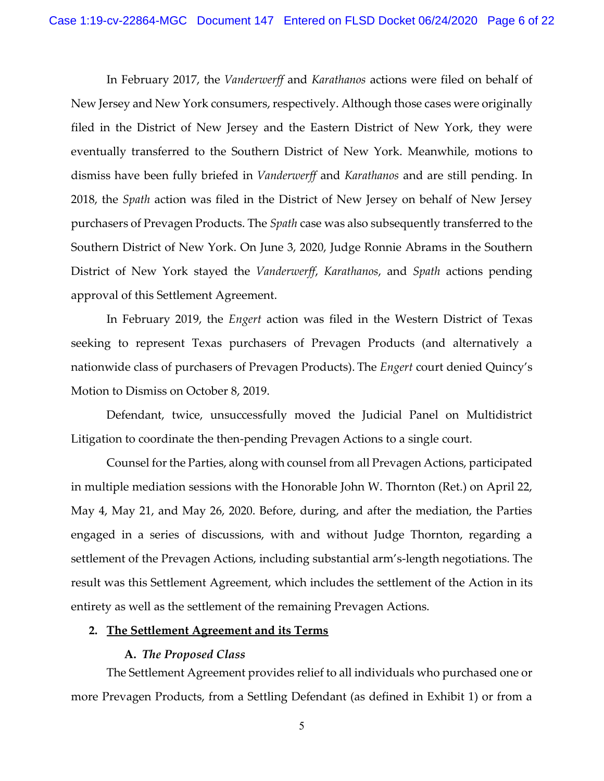In February 2017, the *Vanderwerff* and *Karathanos* actions were filed on behalf of New Jersey and New York consumers, respectively. Although those cases were originally filed in the District of New Jersey and the Eastern District of New York, they were eventually transferred to the Southern District of New York. Meanwhile, motions to dismiss have been fully briefed in *Vanderwerff* and *Karathanos* and are still pending. In 2018, the *Spath* action was filed in the District of New Jersey on behalf of New Jersey purchasers of Prevagen Products. The *Spath* case was also subsequently transferred to the Southern District of New York. On June 3, 2020, Judge Ronnie Abrams in the Southern District of New York stayed the *Vanderwerff*, *Karathanos*, and *Spath* actions pending approval of this Settlement Agreement.

In February 2019, the *Engert* action was filed in the Western District of Texas seeking to represent Texas purchasers of Prevagen Products (and alternatively a nationwide class of purchasers of Prevagen Products). The *Engert* court denied Quincy's Motion to Dismiss on October 8, 2019.

Defendant, twice, unsuccessfully moved the Judicial Panel on Multidistrict Litigation to coordinate the then-pending Prevagen Actions to a single court.

Counsel for the Parties, along with counsel from all Prevagen Actions, participated in multiple mediation sessions with the Honorable John W. Thornton (Ret.) on April 22, May 4, May 21, and May 26, 2020. Before, during, and after the mediation, the Parties engaged in a series of discussions, with and without Judge Thornton, regarding a settlement of the Prevagen Actions, including substantial arm's-length negotiations. The result was this Settlement Agreement, which includes the settlement of the Action in its entirety as well as the settlement of the remaining Prevagen Actions.

#### **2. The Settlement Agreement and its Terms**

### **A.** *The Proposed Class*

The Settlement Agreement provides relief to all individuals who purchased one or more Prevagen Products, from a Settling Defendant (as defined in Exhibit 1) or from a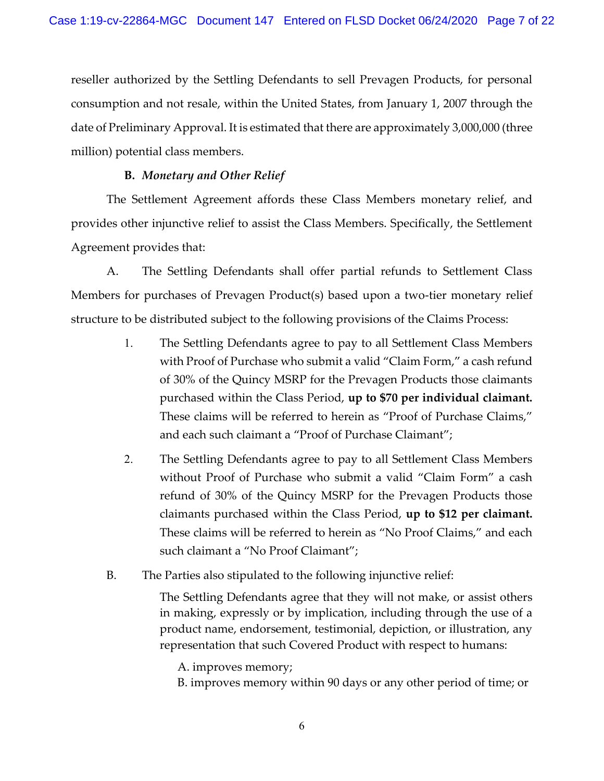reseller authorized by the Settling Defendants to sell Prevagen Products, for personal consumption and not resale, within the United States, from January 1, 2007 through the date of Preliminary Approval. It is estimated that there are approximately 3,000,000 (three million) potential class members.

### **B.** *Monetary and Other Relief*

The Settlement Agreement affords these Class Members monetary relief, and provides other injunctive relief to assist the Class Members. Specifically, the Settlement Agreement provides that:

A. The Settling Defendants shall offer partial refunds to Settlement Class Members for purchases of Prevagen Product(s) based upon a two-tier monetary relief structure to be distributed subject to the following provisions of the Claims Process:

- 1. The Settling Defendants agree to pay to all Settlement Class Members with Proof of Purchase who submit a valid "Claim Form," a cash refund of 30% of the Quincy MSRP for the Prevagen Products those claimants purchased within the Class Period, **up to \$70 per individual claimant.**  These claims will be referred to herein as "Proof of Purchase Claims," and each such claimant a "Proof of Purchase Claimant";
- 2. The Settling Defendants agree to pay to all Settlement Class Members without Proof of Purchase who submit a valid "Claim Form" a cash refund of 30% of the Quincy MSRP for the Prevagen Products those claimants purchased within the Class Period, **up to \$12 per claimant.**  These claims will be referred to herein as "No Proof Claims," and each such claimant a "No Proof Claimant";
- B. The Parties also stipulated to the following injunctive relief:

The Settling Defendants agree that they will not make, or assist others in making, expressly or by implication, including through the use of a product name, endorsement, testimonial, depiction, or illustration, any representation that such Covered Product with respect to humans:

A. improves memory;

B. improves memory within 90 days or any other period of time; or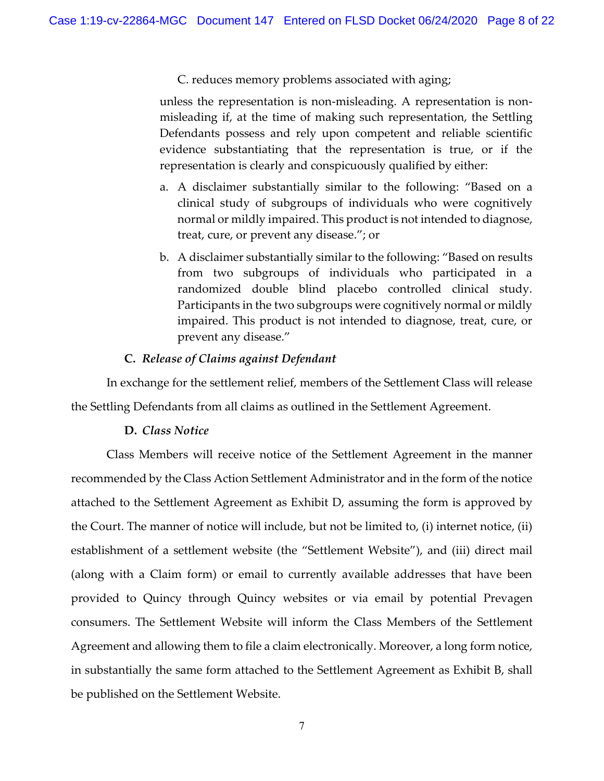C. reduces memory problems associated with aging;

unless the representation is non-misleading. A representation is nonmisleading if, at the time of making such representation, the Settling Defendants possess and rely upon competent and reliable scientific evidence substantiating that the representation is true, or if the representation is clearly and conspicuously qualified by either:

- a. A disclaimer substantially similar to the following: "Based on a clinical study of subgroups of individuals who were cognitively normal or mildly impaired. This product is not intended to diagnose, treat, cure, or prevent any disease."; or
- b. A disclaimer substantially similar to the following: "Based on results from two subgroups of individuals who participated in a randomized double blind placebo controlled clinical study. Participants in the two subgroups were cognitively normal or mildly impaired. This product is not intended to diagnose, treat, cure, or prevent any disease."

### **C.** *Release of Claims against Defendant*

In exchange for the settlement relief, members of the Settlement Class will release the Settling Defendants from all claims as outlined in the Settlement Agreement.

### **D.** *Class Notice*

Class Members will receive notice of the Settlement Agreement in the manner recommended by the Class Action Settlement Administrator and in the form of the notice attached to the Settlement Agreement as Exhibit D, assuming the form is approved by the Court. The manner of notice will include, but not be limited to, (i) internet notice, (ii) establishment of a settlement website (the "Settlement Website"), and (iii) direct mail (along with a Claim form) or email to currently available addresses that have been provided to Quincy through Quincy websites or via email by potential Prevagen consumers. The Settlement Website will inform the Class Members of the Settlement Agreement and allowing them to file a claim electronically. Moreover, a long form notice, in substantially the same form attached to the Settlement Agreement as Exhibit B, shall be published on the Settlement Website.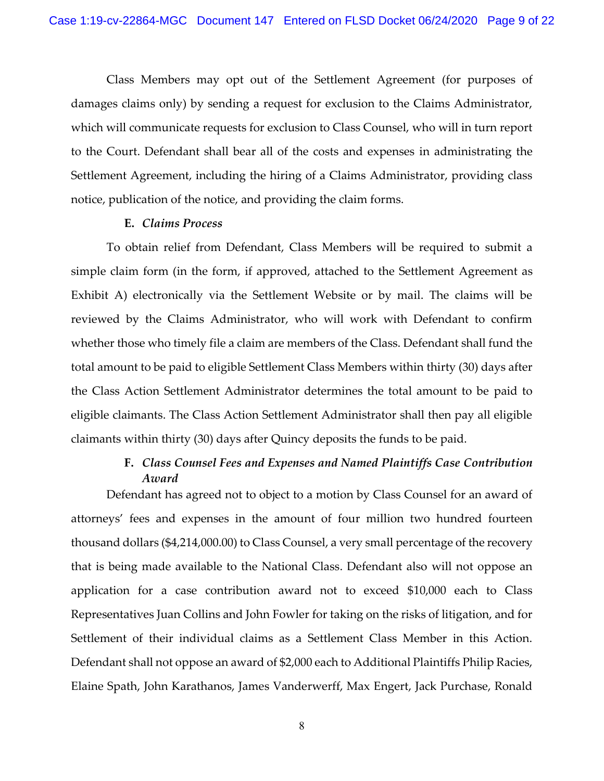Class Members may opt out of the Settlement Agreement (for purposes of damages claims only) by sending a request for exclusion to the Claims Administrator, which will communicate requests for exclusion to Class Counsel, who will in turn report to the Court. Defendant shall bear all of the costs and expenses in administrating the Settlement Agreement, including the hiring of a Claims Administrator, providing class notice, publication of the notice, and providing the claim forms.

#### **E.** *Claims Process*

To obtain relief from Defendant, Class Members will be required to submit a simple claim form (in the form, if approved, attached to the Settlement Agreement as Exhibit A) electronically via the Settlement Website or by mail. The claims will be reviewed by the Claims Administrator, who will work with Defendant to confirm whether those who timely file a claim are members of the Class. Defendant shall fund the total amount to be paid to eligible Settlement Class Members within thirty (30) days after the Class Action Settlement Administrator determines the total amount to be paid to eligible claimants. The Class Action Settlement Administrator shall then pay all eligible claimants within thirty (30) days after Quincy deposits the funds to be paid.

# **F.** *Class Counsel Fees and Expenses and Named Plaintiffs Case Contribution Award*

Defendant has agreed not to object to a motion by Class Counsel for an award of attorneys' fees and expenses in the amount of four million two hundred fourteen thousand dollars (\$4,214,000.00) to Class Counsel, a very small percentage of the recovery that is being made available to the National Class. Defendant also will not oppose an application for a case contribution award not to exceed \$10,000 each to Class Representatives Juan Collins and John Fowler for taking on the risks of litigation, and for Settlement of their individual claims as a Settlement Class Member in this Action. Defendant shall not oppose an award of \$2,000 each to Additional Plaintiffs Philip Racies, Elaine Spath, John Karathanos, James Vanderwerff, Max Engert, Jack Purchase, Ronald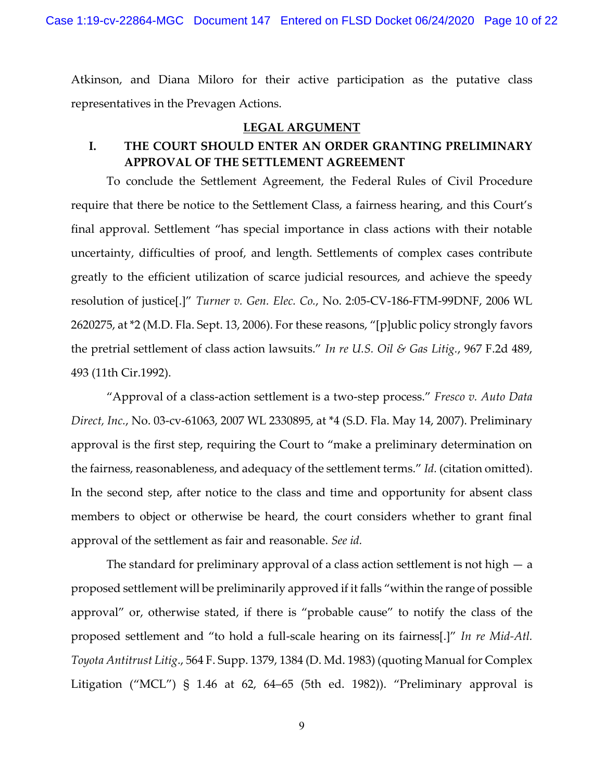Case 1:19-cv-22864-MGC Document 147 Entered on FLSD Docket 06/24/2020 Page 10 of 22

Atkinson, and Diana Miloro for their active participation as the putative class representatives in the Prevagen Actions.

#### **LEGAL ARGUMENT**

# **I. THE COURT SHOULD ENTER AN ORDER GRANTING PRELIMINARY APPROVAL OF THE SETTLEMENT AGREEMENT**

To conclude the Settlement Agreement, the Federal Rules of Civil Procedure require that there be notice to the Settlement Class, a fairness hearing, and this Court's final approval. Settlement "has special importance in class actions with their notable uncertainty, difficulties of proof, and length. Settlements of complex cases contribute greatly to the efficient utilization of scarce judicial resources, and achieve the speedy resolution of justice[.]" *Turner v. Gen. Elec. Co.*, No. 2:05-CV-186-FTM-99DNF, 2006 WL 2620275, at \*2 (M.D. Fla. Sept. 13, 2006). For these reasons, "[p]ublic policy strongly favors the pretrial settlement of class action lawsuits." *In re U.S. Oil & Gas Litig.*, 967 F.2d 489, 493 (11th Cir.1992).

"Approval of a class-action settlement is a two-step process." *Fresco v. Auto Data Direct, Inc.*, No. 03-cv-61063, 2007 WL 2330895, at \*4 (S.D. Fla. May 14, 2007). Preliminary approval is the first step, requiring the Court to "make a preliminary determination on the fairness, reasonableness, and adequacy of the settlement terms." *Id.* (citation omitted). In the second step, after notice to the class and time and opportunity for absent class members to object or otherwise be heard, the court considers whether to grant final approval of the settlement as fair and reasonable. *See id.*

The standard for preliminary approval of a class action settlement is not high  $-$  a proposed settlement will be preliminarily approved if it falls "within the range of possible approval" or, otherwise stated, if there is "probable cause" to notify the class of the proposed settlement and "to hold a full-scale hearing on its fairness[.]" *In re Mid-Atl. Toyota Antitrust Litig*., 564 F. Supp. 1379, 1384 (D. Md. 1983) (quoting Manual for Complex Litigation ("MCL")  $\hat{S}$  1.46 at 62, 64–65 (5th ed. 1982)). "Preliminary approval is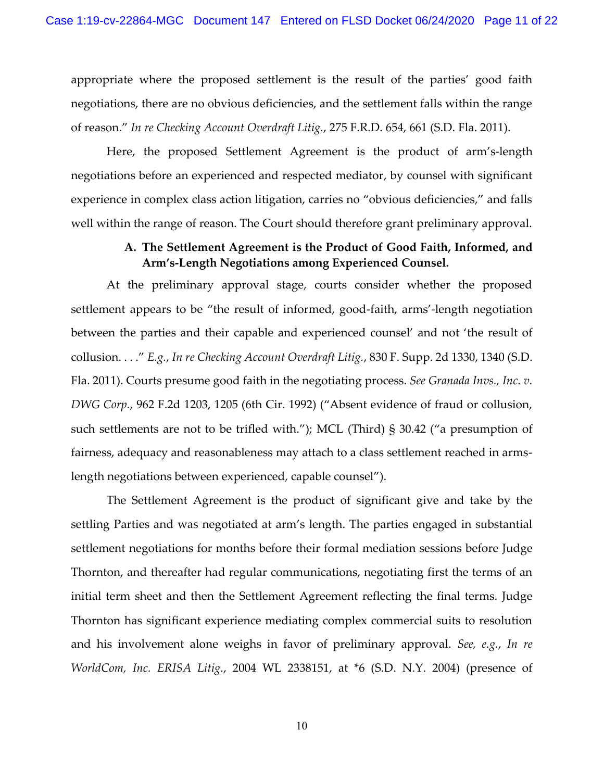appropriate where the proposed settlement is the result of the parties' good faith negotiations, there are no obvious deficiencies, and the settlement falls within the range of reason." *In re Checking Account Overdraft Litig.*, 275 F.R.D. 654, 661 (S.D. Fla. 2011).

Here, the proposed Settlement Agreement is the product of arm's-length negotiations before an experienced and respected mediator, by counsel with significant experience in complex class action litigation, carries no "obvious deficiencies," and falls well within the range of reason. The Court should therefore grant preliminary approval.

# **A. The Settlement Agreement is the Product of Good Faith, Informed, and Arm's-Length Negotiations among Experienced Counsel.**

At the preliminary approval stage, courts consider whether the proposed settlement appears to be "the result of informed, good-faith, arms'-length negotiation between the parties and their capable and experienced counsel' and not 'the result of collusion. . . ." *E.g.*, *In re Checking Account Overdraft Litig.*, 830 F. Supp. 2d 1330, 1340 (S.D. Fla. 2011). Courts presume good faith in the negotiating process. *See Granada Invs., Inc. v. DWG Corp.*, 962 F.2d 1203, 1205 (6th Cir. 1992) ("Absent evidence of fraud or collusion, such settlements are not to be trifled with."); MCL (Third) § 30.42 ("a presumption of fairness, adequacy and reasonableness may attach to a class settlement reached in armslength negotiations between experienced, capable counsel").

The Settlement Agreement is the product of significant give and take by the settling Parties and was negotiated at arm's length. The parties engaged in substantial settlement negotiations for months before their formal mediation sessions before Judge Thornton, and thereafter had regular communications, negotiating first the terms of an initial term sheet and then the Settlement Agreement reflecting the final terms. Judge Thornton has significant experience mediating complex commercial suits to resolution and his involvement alone weighs in favor of preliminary approval. *See, e.g.*, *In re WorldCom, Inc. ERISA Litig.*, 2004 WL 2338151, at \*6 (S.D. N.Y. 2004) (presence of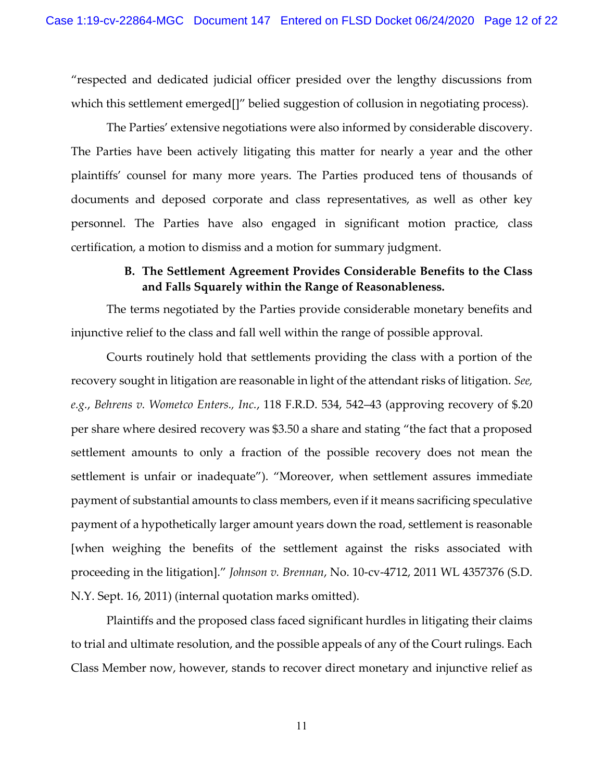"respected and dedicated judicial officer presided over the lengthy discussions from which this settlement emerged<sup>[1]</sup> belied suggestion of collusion in negotiating process).

The Parties' extensive negotiations were also informed by considerable discovery. The Parties have been actively litigating this matter for nearly a year and the other plaintiffs' counsel for many more years. The Parties produced tens of thousands of documents and deposed corporate and class representatives, as well as other key personnel. The Parties have also engaged in significant motion practice, class certification, a motion to dismiss and a motion for summary judgment.

# **B. The Settlement Agreement Provides Considerable Benefits to the Class and Falls Squarely within the Range of Reasonableness.**

The terms negotiated by the Parties provide considerable monetary benefits and injunctive relief to the class and fall well within the range of possible approval.

Courts routinely hold that settlements providing the class with a portion of the recovery sought in litigation are reasonable in light of the attendant risks of litigation. *See, e.g.*, *Behrens v. Wometco Enters., Inc.*, 118 F.R.D. 534, 542–43 (approving recovery of \$.20 per share where desired recovery was \$3.50 a share and stating "the fact that a proposed settlement amounts to only a fraction of the possible recovery does not mean the settlement is unfair or inadequate"). "Moreover, when settlement assures immediate payment of substantial amounts to class members, even if it means sacrificing speculative payment of a hypothetically larger amount years down the road, settlement is reasonable [when weighing the benefits of the settlement against the risks associated with proceeding in the litigation]." *Johnson v. Brennan*, No. 10-cv-4712, 2011 WL 4357376 (S.D. N.Y. Sept. 16, 2011) (internal quotation marks omitted).

Plaintiffs and the proposed class faced significant hurdles in litigating their claims to trial and ultimate resolution, and the possible appeals of any of the Court rulings. Each Class Member now, however, stands to recover direct monetary and injunctive relief as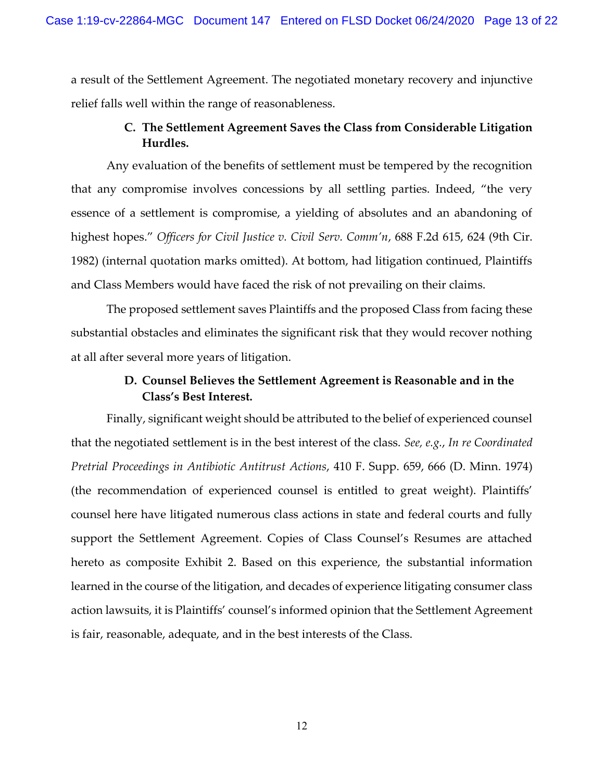a result of the Settlement Agreement. The negotiated monetary recovery and injunctive relief falls well within the range of reasonableness.

# **C. The Settlement Agreement Saves the Class from Considerable Litigation Hurdles.**

Any evaluation of the benefits of settlement must be tempered by the recognition that any compromise involves concessions by all settling parties. Indeed, "the very essence of a settlement is compromise, a yielding of absolutes and an abandoning of highest hopes." *Officers for Civil Justice v. Civil Serv. Comm'n*, 688 F.2d 615, 624 (9th Cir. 1982) (internal quotation marks omitted). At bottom, had litigation continued, Plaintiffs and Class Members would have faced the risk of not prevailing on their claims.

The proposed settlement saves Plaintiffs and the proposed Class from facing these substantial obstacles and eliminates the significant risk that they would recover nothing at all after several more years of litigation.

# **D. Counsel Believes the Settlement Agreement is Reasonable and in the Class's Best Interest.**

Finally, significant weight should be attributed to the belief of experienced counsel that the negotiated settlement is in the best interest of the class. *See, e.g.*, *In re Coordinated Pretrial Proceedings in Antibiotic Antitrust Actions*, 410 F. Supp. 659, 666 (D. Minn. 1974) (the recommendation of experienced counsel is entitled to great weight). Plaintiffs' counsel here have litigated numerous class actions in state and federal courts and fully support the Settlement Agreement. Copies of Class Counsel's Resumes are attached hereto as composite Exhibit 2. Based on this experience, the substantial information learned in the course of the litigation, and decades of experience litigating consumer class action lawsuits, it is Plaintiffs' counsel's informed opinion that the Settlement Agreement is fair, reasonable, adequate, and in the best interests of the Class.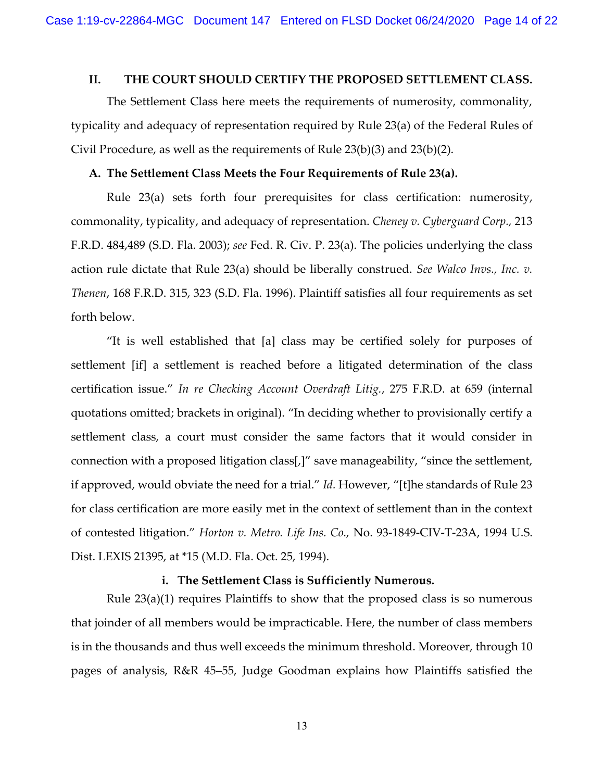#### **II. THE COURT SHOULD CERTIFY THE PROPOSED SETTLEMENT CLASS.**

The Settlement Class here meets the requirements of numerosity, commonality, typicality and adequacy of representation required by Rule 23(a) of the Federal Rules of Civil Procedure, as well as the requirements of Rule 23(b)(3) and 23(b)(2).

#### **A. The Settlement Class Meets the Four Requirements of Rule 23(a).**

Rule 23(a) sets forth four prerequisites for class certification: numerosity, commonality, typicality, and adequacy of representation. *Cheney v. Cyberguard Corp.,* 213 F.R.D. 484,489 (S.D. Fla. 2003); *see* Fed. R. Civ. P. 23(a). The policies underlying the class action rule dictate that Rule 23(a) should be liberally construed. *See Walco Invs., Inc. v. Thenen*, 168 F.R.D. 315, 323 (S.D. Fla. 1996). Plaintiff satisfies all four requirements as set forth below.

"It is well established that [a] class may be certified solely for purposes of settlement [if] a settlement is reached before a litigated determination of the class certification issue." *In re Checking Account Overdraft Litig.*, 275 F.R.D. at 659 (internal quotations omitted; brackets in original). "In deciding whether to provisionally certify a settlement class, a court must consider the same factors that it would consider in connection with a proposed litigation class[,]" save manageability, "since the settlement, if approved, would obviate the need for a trial." *Id.* However, "[t]he standards of Rule 23 for class certification are more easily met in the context of settlement than in the context of contested litigation." *Horton v. Metro. Life Ins. Co.,* No. 93-1849-CIV-T-23A, 1994 U.S. Dist. LEXIS 21395, at \*15 (M.D. Fla. Oct. 25, 1994).

#### **i. The Settlement Class is Sufficiently Numerous.**

Rule 23(a)(1) requires Plaintiffs to show that the proposed class is so numerous that joinder of all members would be impracticable. Here, the number of class members is in the thousands and thus well exceeds the minimum threshold. Moreover, through 10 pages of analysis, R&R 45–55, Judge Goodman explains how Plaintiffs satisfied the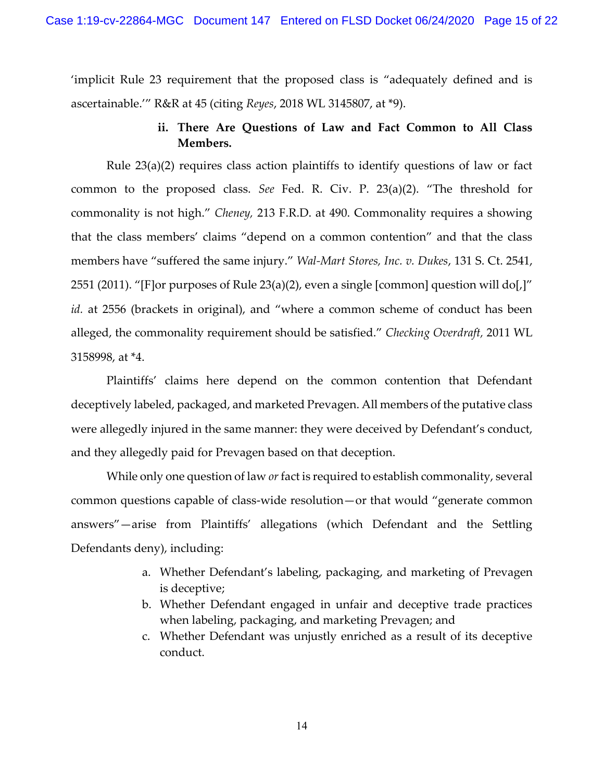'implicit Rule 23 requirement that the proposed class is "adequately defined and is ascertainable.'" R&R at 45 (citing *Reyes*, 2018 WL 3145807, at \*9).

# **ii. There Are Questions of Law and Fact Common to All Class Members.**

Rule 23(a)(2) requires class action plaintiffs to identify questions of law or fact common to the proposed class. *See* Fed. R. Civ. P. 23(a)(2). "The threshold for commonality is not high." *Cheney,* 213 F.R.D. at 490. Commonality requires a showing that the class members' claims "depend on a common contention" and that the class members have "suffered the same injury." *Wal-Mart Stores, Inc. v. Dukes*, 131 S. Ct. 2541, 2551 (2011). "[F]or purposes of Rule  $23(a)(2)$ , even a single [common] question will do[,]" *id.* at 2556 (brackets in original), and "where a common scheme of conduct has been alleged, the commonality requirement should be satisfied." *Checking Overdraft,* 2011 WL 3158998, at \*4.

Plaintiffs' claims here depend on the common contention that Defendant deceptively labeled, packaged, and marketed Prevagen. All members of the putative class were allegedly injured in the same manner: they were deceived by Defendant's conduct, and they allegedly paid for Prevagen based on that deception.

While only one question of law *or* fact is required to establish commonality, several common questions capable of class-wide resolution—or that would "generate common answers"—arise from Plaintiffs' allegations (which Defendant and the Settling Defendants deny), including:

- a. Whether Defendant's labeling, packaging, and marketing of Prevagen is deceptive;
- b. Whether Defendant engaged in unfair and deceptive trade practices when labeling, packaging, and marketing Prevagen; and
- c. Whether Defendant was unjustly enriched as a result of its deceptive conduct.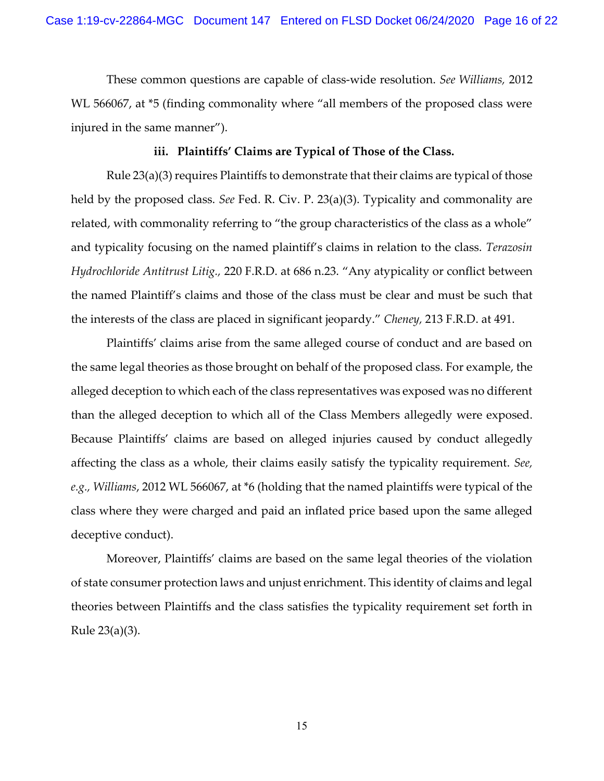These common questions are capable of class-wide resolution. *See Williams,* 2012 WL 566067, at \*5 (finding commonality where "all members of the proposed class were injured in the same manner").

#### **iii. Plaintiffs' Claims are Typical of Those of the Class.**

Rule 23(a)(3) requires Plaintiffs to demonstrate that their claims are typical of those held by the proposed class. *See* Fed. R. Civ. P. 23(a)(3). Typicality and commonality are related, with commonality referring to "the group characteristics of the class as a whole" and typicality focusing on the named plaintiff's claims in relation to the class. *Terazosin Hydrochloride Antitrust Litig.,* 220 F.R.D. at 686 n.23. "Any atypicality or conflict between the named Plaintiff's claims and those of the class must be clear and must be such that the interests of the class are placed in significant jeopardy." *Cheney,* 213 F.R.D. at 491.

Plaintiffs' claims arise from the same alleged course of conduct and are based on the same legal theories as those brought on behalf of the proposed class. For example, the alleged deception to which each of the class representatives was exposed was no different than the alleged deception to which all of the Class Members allegedly were exposed. Because Plaintiffs' claims are based on alleged injuries caused by conduct allegedly affecting the class as a whole, their claims easily satisfy the typicality requirement. *See, e.g., Williams*, 2012 WL 566067, at \*6 (holding that the named plaintiffs were typical of the class where they were charged and paid an inflated price based upon the same alleged deceptive conduct).

Moreover, Plaintiffs' claims are based on the same legal theories of the violation of state consumer protection laws and unjust enrichment. This identity of claims and legal theories between Plaintiffs and the class satisfies the typicality requirement set forth in Rule 23(a)(3).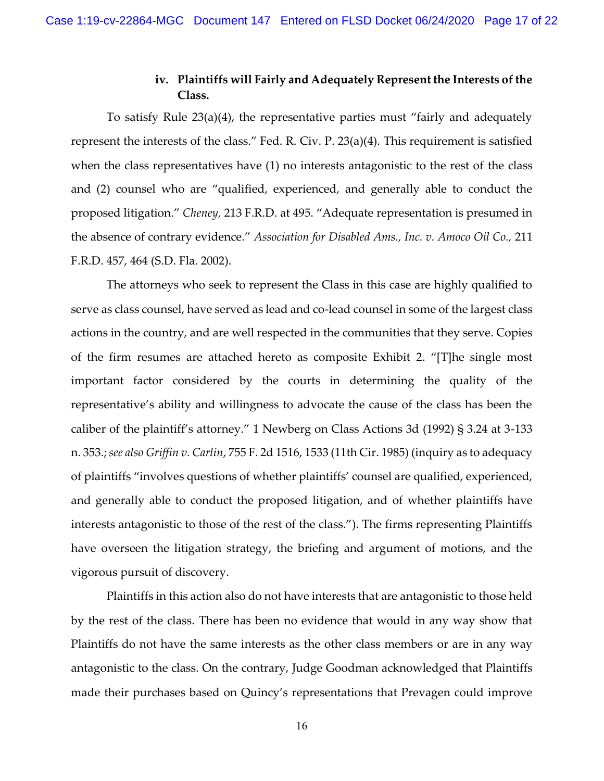### **iv. Plaintiffs will Fairly and Adequately Represent the Interests of the Class.**

To satisfy Rule 23(a)(4), the representative parties must "fairly and adequately represent the interests of the class." Fed. R. Civ. P. 23(a)(4). This requirement is satisfied when the class representatives have (1) no interests antagonistic to the rest of the class and (2) counsel who are "qualified, experienced, and generally able to conduct the proposed litigation." *Cheney,* 213 F.R.D. at 495. "Adequate representation is presumed in the absence of contrary evidence." *Association for Disabled Ams., Inc. v. Amoco Oil Co.,* 211 F.R.D. 457, 464 (S.D. Fla. 2002).

The attorneys who seek to represent the Class in this case are highly qualified to serve as class counsel, have served as lead and co-lead counsel in some of the largest class actions in the country, and are well respected in the communities that they serve. Copies of the firm resumes are attached hereto as composite Exhibit 2. "[T]he single most important factor considered by the courts in determining the quality of the representative's ability and willingness to advocate the cause of the class has been the caliber of the plaintiff's attorney." 1 Newberg on Class Actions 3d (1992) § 3.24 at 3-133 n. 353.; *see also Griffin v. Carlin*, 755 F. 2d 1516, 1533 (11th Cir. 1985) (inquiry as to adequacy of plaintiffs "involves questions of whether plaintiffs' counsel are qualified, experienced, and generally able to conduct the proposed litigation, and of whether plaintiffs have interests antagonistic to those of the rest of the class."). The firms representing Plaintiffs have overseen the litigation strategy, the briefing and argument of motions, and the vigorous pursuit of discovery.

Plaintiffs in this action also do not have interests that are antagonistic to those held by the rest of the class. There has been no evidence that would in any way show that Plaintiffs do not have the same interests as the other class members or are in any way antagonistic to the class. On the contrary, Judge Goodman acknowledged that Plaintiffs made their purchases based on Quincy's representations that Prevagen could improve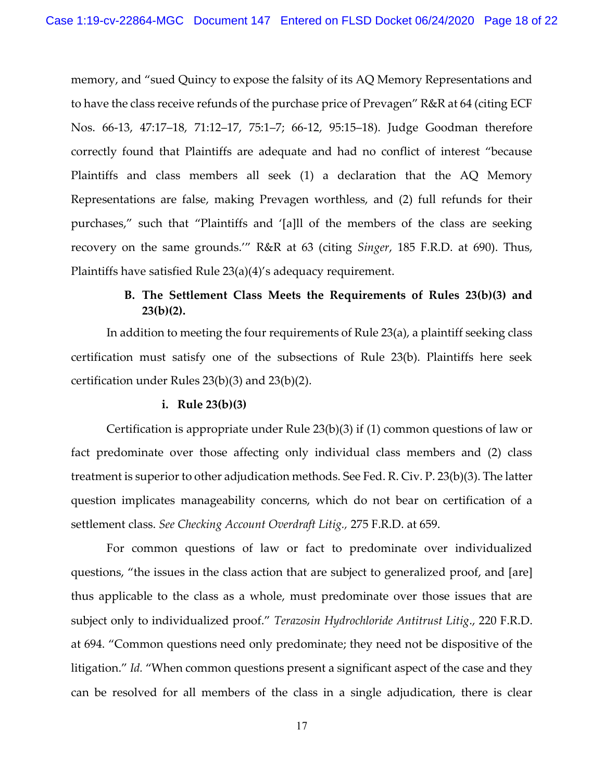memory, and "sued Quincy to expose the falsity of its AQ Memory Representations and to have the class receive refunds of the purchase price of Prevagen" R&R at 64 (citing ECF Nos. 66-13, 47:17–18, 71:12–17, 75:1–7; 66-12, 95:15–18). Judge Goodman therefore correctly found that Plaintiffs are adequate and had no conflict of interest "because Plaintiffs and class members all seek (1) a declaration that the AQ Memory Representations are false, making Prevagen worthless, and (2) full refunds for their purchases," such that "Plaintiffs and '[a]ll of the members of the class are seeking recovery on the same grounds.'" R&R at 63 (citing *Singer*, 185 F.R.D. at 690). Thus, Plaintiffs have satisfied Rule 23(a)(4)'s adequacy requirement.

# **B. The Settlement Class Meets the Requirements of Rules 23(b)(3) and 23(b)(2).**

In addition to meeting the four requirements of Rule 23(a), a plaintiff seeking class certification must satisfy one of the subsections of Rule 23(b). Plaintiffs here seek certification under Rules 23(b)(3) and 23(b)(2).

#### **i. Rule 23(b)(3)**

Certification is appropriate under Rule 23(b)(3) if (1) common questions of law or fact predominate over those affecting only individual class members and (2) class treatment is superior to other adjudication methods. See Fed. R. Civ. P. 23(b)(3). The latter question implicates manageability concerns, which do not bear on certification of a settlement class. *See Checking Account Overdraft Litig.,* 275 F.R.D. at 659.

For common questions of law or fact to predominate over individualized questions, "the issues in the class action that are subject to generalized proof, and [are] thus applicable to the class as a whole, must predominate over those issues that are subject only to individualized proof." *Terazosin Hydrochloride Antitrust Litig*., 220 F.R.D. at 694. "Common questions need only predominate; they need not be dispositive of the litigation." *Id.* "When common questions present a significant aspect of the case and they can be resolved for all members of the class in a single adjudication, there is clear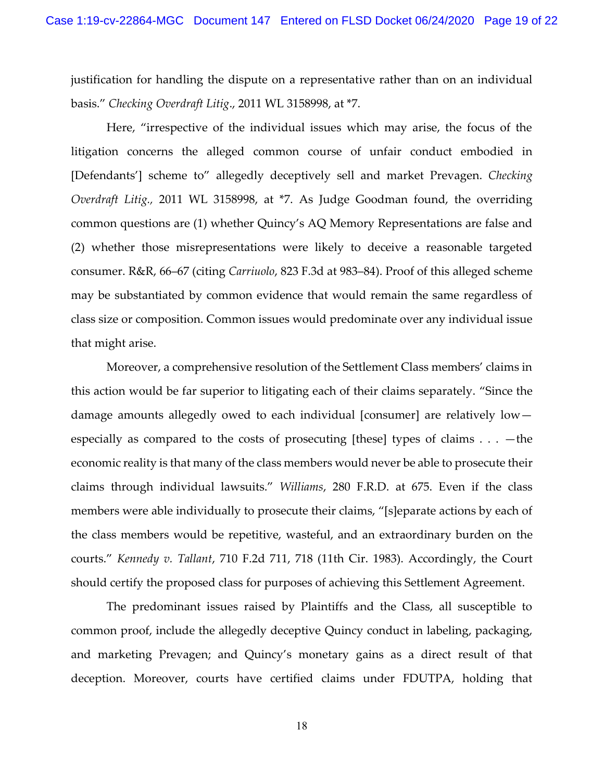justification for handling the dispute on a representative rather than on an individual basis." *Checking Overdraft Litig*., 2011 WL 3158998, at \*7.

Here, "irrespective of the individual issues which may arise, the focus of the litigation concerns the alleged common course of unfair conduct embodied in [Defendants'] scheme to" allegedly deceptively sell and market Prevagen. *Checking Overdraft Litig.,* 2011 WL 3158998, at \*7. As Judge Goodman found, the overriding common questions are (1) whether Quincy's AQ Memory Representations are false and (2) whether those misrepresentations were likely to deceive a reasonable targeted consumer. R&R, 66–67 (citing *Carriuolo*, 823 F.3d at 983–84). Proof of this alleged scheme may be substantiated by common evidence that would remain the same regardless of class size or composition. Common issues would predominate over any individual issue that might arise.

Moreover, a comprehensive resolution of the Settlement Class members' claims in this action would be far superior to litigating each of their claims separately. "Since the damage amounts allegedly owed to each individual [consumer] are relatively low especially as compared to the costs of prosecuting [these] types of claims  $\dots$  -the economic reality is that many of the class members would never be able to prosecute their claims through individual lawsuits." *Williams*, 280 F.R.D. at 675. Even if the class members were able individually to prosecute their claims, "[s]eparate actions by each of the class members would be repetitive, wasteful, and an extraordinary burden on the courts." *Kennedy v. Tallant*, 710 F.2d 711, 718 (11th Cir. 1983). Accordingly, the Court should certify the proposed class for purposes of achieving this Settlement Agreement.

The predominant issues raised by Plaintiffs and the Class, all susceptible to common proof, include the allegedly deceptive Quincy conduct in labeling, packaging, and marketing Prevagen; and Quincy's monetary gains as a direct result of that deception. Moreover, courts have certified claims under FDUTPA, holding that

18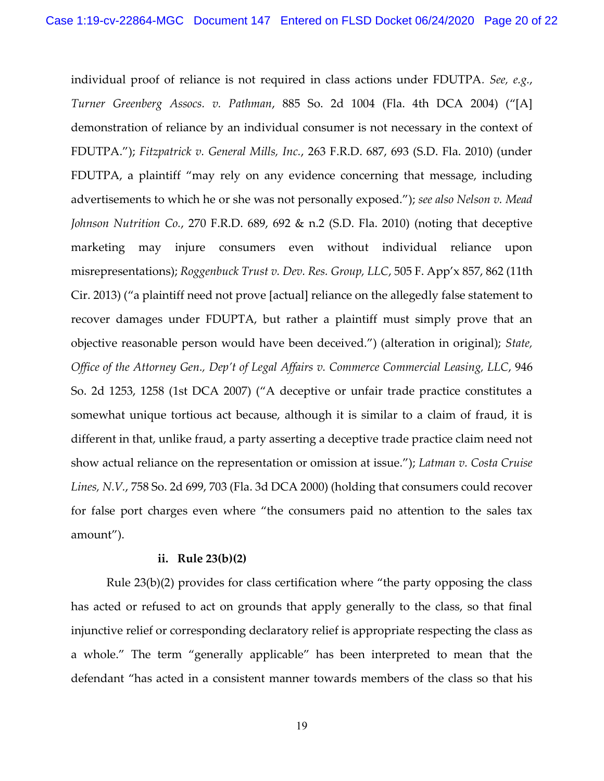individual proof of reliance is not required in class actions under FDUTPA*. See, e.g.*, *Turner Greenberg Assocs. v. Pathman*, 885 So. 2d 1004 (Fla. 4th DCA 2004) ("[A] demonstration of reliance by an individual consumer is not necessary in the context of FDUTPA."); *Fitzpatrick v. General Mills, Inc.*, 263 F.R.D. 687, 693 (S.D. Fla. 2010) (under FDUTPA, a plaintiff "may rely on any evidence concerning that message, including advertisements to which he or she was not personally exposed."); *see also [Nelson v. Mead](http://www.westlaw.com/Find/Default.wl?rs=dfa1.0&vr=2.0&DB=344&FindType=Y&ReferencePositionType=S&SerialNum=2023570480&ReferencePosition=692)  [Johnson Nutrition Co.](http://www.westlaw.com/Find/Default.wl?rs=dfa1.0&vr=2.0&DB=344&FindType=Y&ReferencePositionType=S&SerialNum=2023570480&ReferencePosition=692)*, [270 F.R.D. 689, 692 & n.2 \(S.D. Fla. 2010\)](http://www.westlaw.com/Find/Default.wl?rs=dfa1.0&vr=2.0&DB=344&FindType=Y&ReferencePositionType=S&SerialNum=2023570480&ReferencePosition=692) (noting that deceptive marketing may injure consumers even without individual reliance upon misrepresentations); *Roggenbuck Trust v. Dev. Res. Group, LLC*, 505 F. App'x 857, 862 (11th Cir. 2013) ("a plaintiff need not prove [actual] reliance on the allegedly false statement to recover damages under FDUPTA, but rather a plaintiff must simply prove that an objective reasonable person would have been deceived.") (alteration in original); *State, Office of the Attorney Gen., Dep't of Legal Affairs v. Commerce Commercial Leasing, LLC*, 946 So. 2d 1253, 1258 (1st DCA 2007) ("A deceptive or unfair trade practice constitutes a somewhat unique tortious act because, although it is similar to a claim of fraud, it is different in that, unlike fraud, a party asserting a deceptive trade practice claim need not show actual reliance on the representation or omission at issue."); *Latman v. Costa Cruise Lines, N.V.*, 758 So. 2d 699, 703 (Fla. 3d DCA 2000) (holding that consumers could recover for false port charges even where "the consumers paid no attention to the sales tax amount").

#### **ii. Rule 23(b)(2)**

Rule 23(b)(2) provides for class certification where "the party opposing the class has acted or refused to act on grounds that apply generally to the class, so that final injunctive relief or corresponding declaratory relief is appropriate respecting the class as a whole." The term "generally applicable" has been interpreted to mean that the defendant "has acted in a consistent manner towards members of the class so that his

19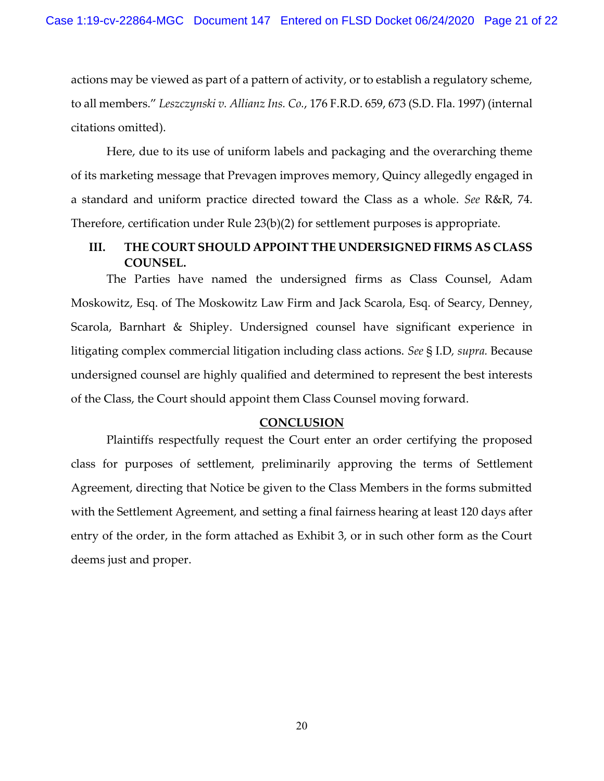actions may be viewed as part of a pattern of activity, or to establish a regulatory scheme, to all members." *Leszczynski v. Allianz Ins. Co.*, 176 F.R.D. 659, 673 (S.D. Fla. 1997) (internal citations omitted).

Here, due to its use of uniform labels and packaging and the overarching theme of its marketing message that Prevagen improves memory, Quincy allegedly engaged in a standard and uniform practice directed toward the Class as a whole. *See* R&R, 74. Therefore, certification under Rule 23(b)(2) for settlement purposes is appropriate.

# **III. THE COURT SHOULD APPOINT THE UNDERSIGNED FIRMS AS CLASS COUNSEL.**

The Parties have named the undersigned firms as Class Counsel, Adam Moskowitz, Esq. of The Moskowitz Law Firm and Jack Scarola, Esq. of Searcy, Denney, Scarola, Barnhart & Shipley. Undersigned counsel have significant experience in litigating complex commercial litigation including class actions. *See* § I.D*, supra.* Because undersigned counsel are highly qualified and determined to represent the best interests of the Class, the Court should appoint them Class Counsel moving forward.

### **CONCLUSION**

Plaintiffs respectfully request the Court enter an order certifying the proposed class for purposes of settlement, preliminarily approving the terms of Settlement Agreement, directing that Notice be given to the Class Members in the forms submitted with the Settlement Agreement, and setting a final fairness hearing at least 120 days after entry of the order, in the form attached as Exhibit 3, or in such other form as the Court deems just and proper.